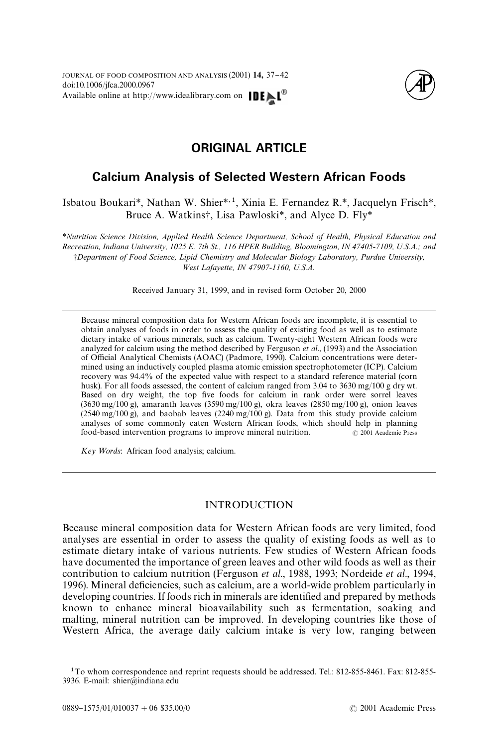

# **ORIGINAL ARTICLE**

## **Calcium Analysis of Selected Western African Foods**

Isbatou Boukari*\**, Nathan W. Shier*\**,1, Xinia E. Fernandez R.*\**, Jacquelyn Frisch*\**, Bruce A. Watkins†, Lisa Pawloski<sup>\*</sup>, and Alyce D. Fly<sup>\*</sup>

*\*Nutrition Science Division, Applied Health Science Department, School of Health, Physical Education and Recreation, Indiana University, 1025 E. 7th St., 116 HPER Building, Bloomington, IN 47405-7109, U.S.A.; and* -*Department of Food Science, Lipid Chemistry and Molecular Biology Laboratory, Purdue University, West Lafayette, IN 47907-1160, U.S.A.*

Received January 31, 1999, and in revised form October 20, 2000

Because mineral composition data for Western African foods are incomplete, it is essential to obtain analyses of foods in order to assess the quality of existing food as well as to estimate dietary intake of various minerals, such as calcium. Twenty-eight Western African foods were analyzed for calcium using the method described b[y Ferguson](#page-5-0) *et al*., (1993) and the Association of Official Analytical Chemists (AOAC) [\(Padmore, 1990\).](#page-5-0) Calcium concentrations were determined using an inductively coupled plasma atomic emission spectrophotometer (ICP). Calcium recovery was 94.4% of the expected value with respect to a standard reference material (corn husk). For all foods assessed, the content of calcium ranged from 3.04 to 3630 mg/100 g dry wt. Based on dry weight, the top five foods for calcium in rank order were sorrel leaves (3630 mg/100 g), amaranth leaves (3590 mg/100 g), okra leaves (2850 mg/100 g), onion leaves  $(2540 \text{ mg}/100 \text{ g})$ , and baobab leaves  $(2240 \text{ mg}/100 \text{ g})$ . Data from this study provide calcium analyses of some commonly eaten Western African foods, which should help in planning food-based intervention programs to improve mineral nutrition.  $\qquad \qquad \odot$  2001 Academic Press

*Key Words*: African food analysis; calcium.

## INTRODUCTION

Because mineral composition data for Western African foods are very limited, food analyses are essential in order to assess the quality of existing foods as well as to estimate dietary intake of various nutrients. Few studies of Western African foods have documented the importance of green leaves and other wild foods as well as their contribution to calcium nutrition [\(Ferguson](#page-5-0) *et al*., 1988, [1993; Nordeide](#page-5-0) *et al*., 1994, [1996\)](#page-5-0). Mineral deficiencies, such as calcium, are a world-wide problem particularly in developing countries. If foods rich in minerals are identified and prepared by methods known to enhance mineral bioavailability such as fermentation, soaking and malting, mineral nutrition can be improved. In developing countries like those of Western Africa, the average daily calcium intake is very low, ranging between

<sup>1</sup>To whom correspondence and reprint requests should be addressed. Tel.: 812-855-8461. Fax: 812-855- 3936. E-mail: shier@indiana.edu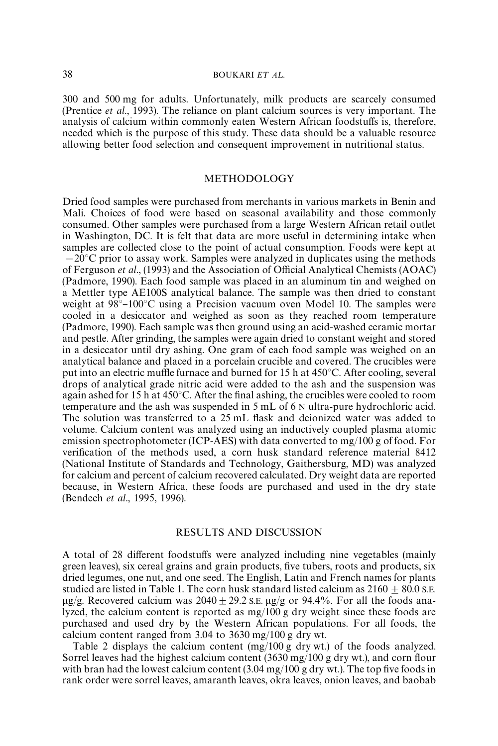300 and 500 mg for adults. Unfortunately, milk products are scarcely consumed [\(Prentice](#page-5-0) *et al*., 1993). The reliance on plant calcium sources is very important. The analysis of calcium within commonly eaten Western African foodstuffs is, therefore, needed which is the purpose of this study. These data should be a valuable resource allowing better food selection and consequent improvement in nutritional status.

## METHODOLOGY

Dried food samples were purchased from merchants in various markets in Benin and Mali. Choices of food were based on seasonal availability and those commonly consumed. Other samples were purchased from a large Western African retail outlet in Washington, DC. It is felt that data are more useful in determining intake when samples are collected close to the point of actual consumption. Foods were kept at  $-20^{\circ}$ C prior to assay work. Samples were analyzed in duplicates using the methods of [Ferguson](#page-5-0) *et al.*, (1993) and the Association of Official Analytical Chemists (AOAC) [\(Padmore, 1990\).](#page-5-0) Each food sample was placed in an aluminum tin and weighed on a Mettler type AE100S analytical balance. The sample was then dried to constant weight at  $98^{\circ}$ –100 $^{\circ}$ C using a Precision vacuum oven Model 10. The samples were cooled in a desiccator and weighed as soon as they reached room temperature [\(Padmore, 1990\).](#page-5-0) Each sample was then ground using an acid-washed ceramic mortar and pestle. After grinding, the samples were again dried to constant weight and stored in a desiccator until dry ashing. One gram of each food sample was weighed on an analytical balance and placed in a porcelain crucible and covered. The crucibles were put into an electric muffle furnace and burned for 15 h at 450°C. After cooling, several drops of analytical grade nitric acid were added to the ash and the suspension was again ashed for 15 h at  $450^{\circ}$ C. After the final ashing, the crucibles were cooled to room temperature and the ash was suspended in 5 mL of 6 N ultra-pure hydrochloric acid. The solution was transferred to a 25 mL flask and deionized water was added to volume. Calcium content was analyzed using an inductively coupled plasma atomic emission spectrophotometer (ICP-AES) with data converted to mg/100 g of food. For verification of the methods used, a corn husk standard reference material 8412 (National Institute of Standards and Technology, Gaithersburg, MD) was analyzed for calcium and percent of calcium recovered calculated. Dry weight data are reported because, in Western Africa, these foods are purchased and used in the dry state [\(Bendech](#page-5-0) *et al*., 1995, [1996\)](#page-5-0).

## RESULTS AND DISCUSSION

A total of 28 different foodstuffs were analyzed including nine vegetables (mainly green leaves), six cereal grains and grain products, five tubers, roots and products, six dried legumes, one nut, and one seed. The English, Latin and French names for plants studied are listed in [Table 1.](#page-2-0) The corn husk standard listed calcium as  $2160 + 80.0$  S.E.  $\mu$ g/g. Recovered calcium was 2040 + 29.2 s.E.  $\mu$ g/g or 94.4%. For all the foods analyzed, the calcium content is reported as mg/100 g dry weight since these foods are purchased and used dry by the Western African populations. For all foods, the calcium content ranged from 3.04 to 3630 mg/100 g dry wt.

[Table 2](#page-2-0) displays the calcium content (mg/100 g dry wt.) of the foods analyzed. Sorrel leaves had the highest calcium content (3630 mg/100 g dry wt.), and corn flour with bran had the lowest calcium content  $(3.04 \text{ mg}/100 \text{ g dry wt.})$ . The top five foods in rank order were sorrel leaves, amaranth leaves, okra leaves, onion leaves, and baobab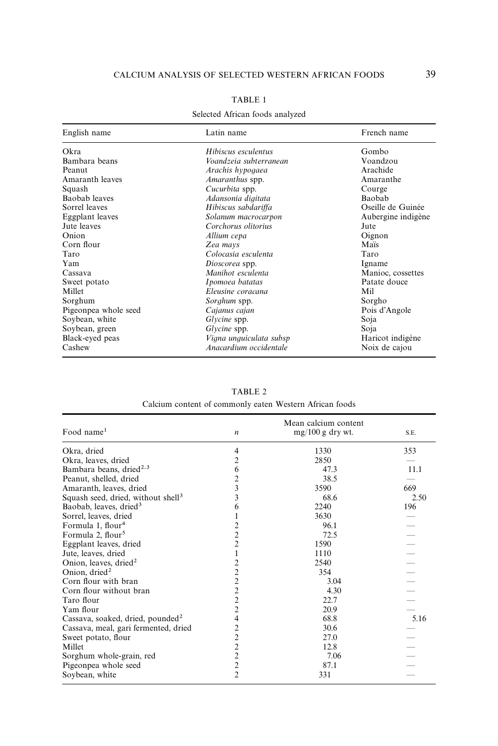<span id="page-2-0"></span>

| English name         | Latin name              | French name        |
|----------------------|-------------------------|--------------------|
| Okra                 | Hibiscus esculentus     | Gombo              |
| Bambara beans        | Voandzeia subterranean  | Voandzou           |
| Peanut               | Arachis hypogaea        | Arachide           |
| Amaranth leaves      | <i>Amaranthus</i> spp.  | Amaranthe          |
| Squash               | Cucurbita spp.          | Courge             |
| Baobab leaves        | Adansonia digitata      | Baobab             |
| Sorrel leaves        | Hibiscus sabdariffa     | Oseille de Guinée  |
| Eggplant leaves      | Solanum macrocarpon     | Aubergine indigène |
| Jute leaves          | Corchorus olitorius     | Jute               |
| Onion                | Allium cepa             | Oignon             |
| Corn flour           | Zea mays                | Maïs               |
| Taro                 | Colocasia esculenta     | Taro               |
| Yam                  | Dioscorea spp.          | Igname             |
| Cassava              | Manihot esculenta       | Manioc, cossettes  |
| Sweet potato         | Ipomoea batatas         | Patate douce       |
| Millet               | Eleusine coracana       | Mil                |
| Sorghum              | Sorghum spp.            | Sorgho             |
| Pigeonpea whole seed | Cajanus cajan           | Pois d'Angole      |
| Soybean, white       | Glycine spp.            | Soja               |
| Soybean, green       | Glycine spp.            | Soja               |
| Black-eyed peas      | Vigna unguiculata subsp | Haricot indigène   |
| Cashew               | Anacardium occidentale  | Noix de cajou      |

### TABLE 1

#### Selected African foods analyzed

TABLE 2 Calcium content of commonly eaten Western African foods

| Food name $1$                                  | n              | Mean calcium content<br>$mg/100 g$ dry wt. | S.E. |
|------------------------------------------------|----------------|--------------------------------------------|------|
|                                                |                |                                            |      |
| Okra, dried                                    | 4              | 1330                                       | 353  |
| Okra, leaves, dried                            | 2              | 2850                                       |      |
| Bambara beans, dried <sup>2,3</sup>            | 6              | 47.3                                       | 11.1 |
| Peanut, shelled, dried                         | 2              | 38.5                                       |      |
| Amaranth, leaves, dried                        | 3              | 3590                                       | 669  |
| Squash seed, dried, without shell <sup>3</sup> | 3              | 68.6                                       | 2.50 |
| Baobab, leaves, dried <sup>3</sup>             | 6              | 2240                                       | 196  |
| Sorrel, leaves, dried                          | 1              | 3630                                       |      |
| Formula 1, flour <sup>4</sup>                  | 2              | 96.1                                       |      |
| Formula 2, flour <sup>5</sup>                  | $\overline{c}$ | 72.5                                       |      |
| Eggplant leaves, dried                         | $\overline{c}$ | 1590                                       |      |
| Jute, leaves, dried                            | $\mathbf{1}$   | 1110                                       |      |
| Onion, leaves, dried <sup>2</sup>              | $\overline{c}$ | 2540                                       |      |
| Onion, dried <sup>2</sup>                      | $\overline{c}$ | 354                                        |      |
| Corn flour with bran                           | $\overline{c}$ | 3.04                                       |      |
| Corn flour without bran                        | $\overline{c}$ | 4.30                                       |      |
| Taro flour                                     | $\overline{c}$ | 22.7                                       |      |
| Yam flour                                      | $\overline{c}$ | 20.9                                       |      |
| Cassava, soaked, dried, pounded <sup>2</sup>   | 4              | 68.8                                       | 5.16 |
| Cassava, meal, gari fermented, dried           | $\overline{c}$ | 30.6                                       |      |
| Sweet potato, flour                            | $\overline{c}$ | 27.0                                       |      |
| Millet                                         | $\overline{c}$ | 12.8                                       |      |
| Sorghum whole-grain, red                       | $\overline{c}$ | 7.06                                       |      |
| Pigeonpea whole seed                           | $\overline{c}$ | 87.1                                       |      |
| Soybean, white                                 | $\overline{2}$ | 331                                        |      |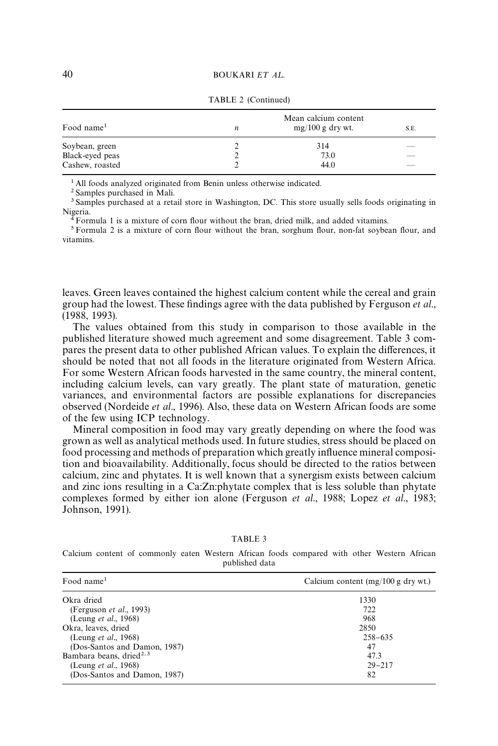| Food name <sup>1</sup> | n | Mean calcium content<br>$mg/100 g$ dry wt. | S.E. |
|------------------------|---|--------------------------------------------|------|
| Soybean, green         |   | 314                                        |      |
| Black-eyed peas        |   | 73.0                                       |      |
| Cashew, roasted        |   | 44.0                                       | ___  |

TABLE 2 (Continued)

<sup>1</sup> All foods analyzed originated from Benin unless otherwise indicated.

2 Samples purchased in Mali.

<sup>3</sup> Samples purchased at a retail store in Washington, DC. This store usually sells foods originating in Nigeria.

 $4$  Formula 1 is a mixture of corn flour without the bran, dried milk, and added vitamins.

 $5$  Formula 2 is a mixture of corn flour without the bran, sorghum flour, non-fat soybean flour, and vitamins.

leaves. Green leaves contained the highest calcium content while the cereal and grain group had the lowest. These findings agree with the data published by [Ferguson](#page-5-0) *et al.*, [\(1988, 1993\)](#page-5-0).

The values obtained from this study in comparison to those available in the published literature showed much agreement and some disagreement. Table 3 compares the present data to other published African values. To explain the differences, it should be noted that not all foods in the literature originated from Western Africa. For some Western African foods harvested in the same country, the mineral content, including calcium levels, can vary greatly. The plant state of maturation, genetic variances, and environmental factors are possible explanations for discrepancies observed [\(Nordeide](#page-5-0) *et al*., 1996). Also, these data on Western African foods are some of the few using ICP technology.

Mineral composition in food may vary greatly depending on where the food was grown as well as analytical methods used. In future studies, stress should be placed on food processing and methods of preparation which greatly influence mineral composition and bioavailability. Additionally, focus should be directed to the ratios between calcium, zinc and phytates. It is well known that a synergism exists between calcium and zinc ions resulting in a Ca:Zn:phytate complex that is less soluble than phytate complexes formed by either ion alone [\(Ferguson](#page-5-0) *et al*., 1988; Lopez *et al*[., 1983;](#page-5-0) [Johnson, 1991\)](#page-5-0).

TABLE 3

Calcium content of commonly eaten Western African foods compared with other Western African published data

| Food name $1$                        | Calcium content $(mg/100 g$ dry wt.) |
|--------------------------------------|--------------------------------------|
| Okra dried                           | 1330                                 |
| (Ferguson <i>et al.</i> , 1993)      | 722                                  |
| (Leung <i>et al.</i> , 1968)         | 968                                  |
| Okra, leaves, dried                  | 2850                                 |
| (Leung <i>et al.</i> , 1968)         | $258 - 635$                          |
| (Dos-Santos and Damon, 1987)         | 47                                   |
| Bambara beans, dried <sup>2, 3</sup> | 47.3                                 |
| (Leung <i>et al.</i> , 1968)         | $29 - 217$                           |
| (Dos-Santos and Damon, 1987)         | 82                                   |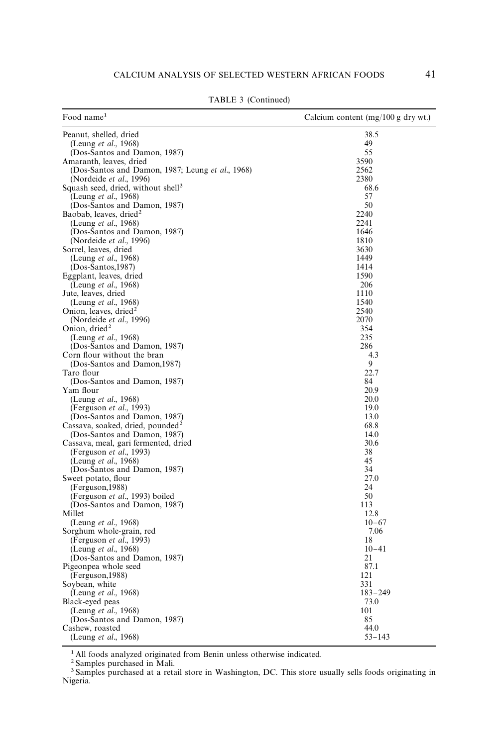| Food name <sup>1</sup>                               | Calcium content (mg/100 g dry wt.) |
|------------------------------------------------------|------------------------------------|
| Peanut, shelled, dried                               | 38.5                               |
| (Leung <i>et al.</i> , 1968)                         | 49                                 |
| (Dos-Santos and Damon, 1987)                         | 55                                 |
| Amaranth, leaves, dried                              | 3590                               |
| (Dos-Santos and Damon, 1987; Leung et al., 1968)     | 2562                               |
| (Nordeide et al., 1996)                              | 2380                               |
| Squash seed, dried, without shell <sup>3</sup>       | 68.6                               |
| (Leung <i>et al.</i> , 1968)                         | 57                                 |
| (Dos-Santos and Damon, 1987)                         | 50<br>2240                         |
| Baobab, leaves, dried <sup>2</sup>                   | 2241                               |
| (Leung et al., 1968)<br>(Dos-Santos and Damon, 1987) | 1646                               |
| (Nordeide et al., 1996)                              | 1810                               |
| Sorrel, leaves, dried                                | 3630                               |
| (Leung <i>et al.</i> , 1968)                         | 1449                               |
| $(Dos-Santos, 1987)$                                 | 1414                               |
| Eggplant, leaves, dried                              | 1590                               |
| (Leung <i>et al.</i> , 1968)                         | 206                                |
| Jute, leaves, dried                                  | 1110                               |
| (Leung <i>et al.</i> , 1968)                         | 1540                               |
| Onion, leaves, dried <sup>2</sup>                    | 2540                               |
| (Nordeide et al., 1996)                              | 2070                               |
| Onion, dried <sup>2</sup>                            | 354                                |
| (Leung <i>et al.</i> , 1968)                         | 235                                |
| (Dos-Santos and Damon, 1987)                         | 286                                |
| Corn flour without the bran                          | 4.3                                |
| (Dos-Santos and Damon, 1987)                         | 9                                  |
| Taro flour                                           | 22.7<br>84                         |
| (Dos-Santos and Damon, 1987)<br>Yam flour            | 20.9                               |
| (Leung <i>et al.</i> , 1968)                         | 20.0                               |
| (Ferguson et al., 1993)                              | 19.0                               |
| (Dos-Santos and Damon, 1987)                         | 13.0                               |
| Cassava, soaked, dried, pounded <sup>2</sup>         | 68.8                               |
| (Dos-Santos and Damon, 1987)                         | 14.0                               |
| Cassava, meal, gari fermented, dried                 | 30.6                               |
| (Ferguson <i>et al.</i> , 1993)                      | 38                                 |
| (Leung et al., 1968)                                 | 45                                 |
| (Dos-Santos and Damon, 1987)                         | 34                                 |
| Sweet potato, flour                                  | 27.0                               |
| (Ferguson, 1988)                                     | 24                                 |
| (Ferguson et al., 1993) boiled                       | 50<br>113                          |
| (Dos-Santos and Damon, 1987)<br>Millet               | 12.8                               |
| (Leung <i>et al.</i> , 1968)                         | $10 - 67$                          |
| Sorghum whole-grain, red                             | 7.06                               |
| (Ferguson <i>et al.</i> , 1993)                      | 18                                 |
| (Leung <i>et al.</i> , 1968)                         | $10 - 41$                          |
| (Dos-Santos and Damon, 1987)                         | 21                                 |
| Pigeonpea whole seed                                 | 87.1                               |
| (Ferguson, 1988)                                     | 121                                |
| Soybean, white                                       | 331                                |
| (Leung <i>et al.</i> , 1968)                         | $183 - 249$                        |
| Black-eyed peas                                      | 73.0                               |
| (Leung <i>et al.</i> , 1968)                         | 101                                |
| (Dos-Santos and Damon, 1987)                         | 85                                 |
| Cashew, roasted                                      | 44.0                               |
| (Leung <i>et al.</i> , 1968)                         | $53 - 143$                         |

TABLE 3 (Continued)

<sup>1</sup> All foods analyzed originated from Benin unless otherwise indicated.

2 Samples purchased in Mali.

<sup>&</sup>lt;sup>3</sup> Samples purchased at a retail store in Washington, DC. This store usually sells foods originating in Nigeria.